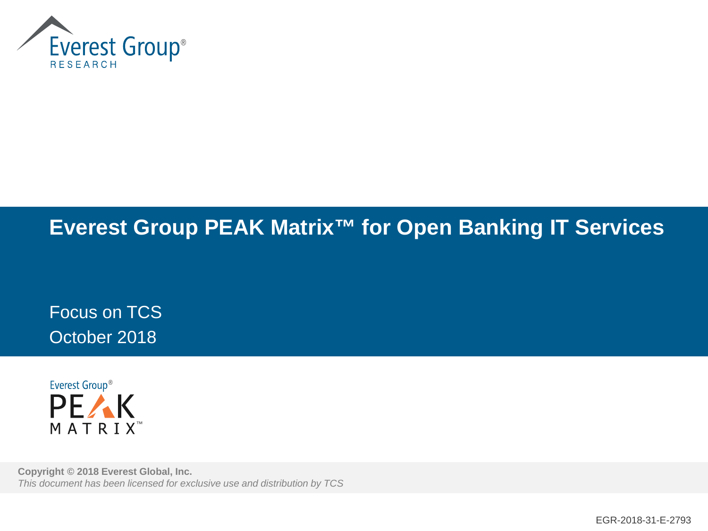

# **Everest Group PEAK Matrix™ for Open Banking IT Services**

Focus on TCS October 2018



**Copyright © 2018 Everest Global, Inc.** *This document has been licensed for exclusive use and distribution by TCS*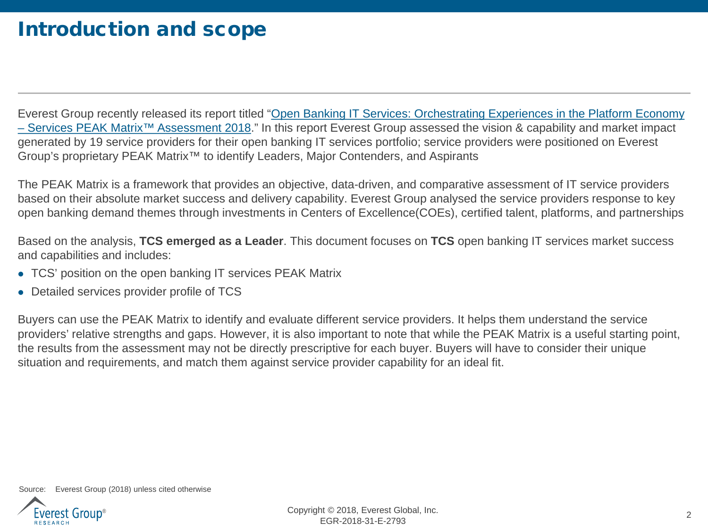## Introduction and scope

[Everest Group recently released its report titled "Open Banking IT Services: Orchestrating Experiences in the Platform Economy](https://www2.everestgrp.com/reportaction/EGR-2018-31-R-2777/ToC) – Services PEAK Matrix™ Assessment 2018." In this report Everest Group assessed the vision & capability and market impact generated by 19 service providers for their open banking IT services portfolio; service providers were positioned on Everest Group's proprietary PEAK Matrix™ to identify Leaders, Major Contenders, and Aspirants

The PEAK Matrix is a framework that provides an objective, data-driven, and comparative assessment of IT service providers based on their absolute market success and delivery capability. Everest Group analysed the service providers response to key open banking demand themes through investments in Centers of Excellence(COEs), certified talent, platforms, and partnerships

Based on the analysis, **TCS emerged as a Leader**. This document focuses on **TCS** open banking IT services market success and capabilities and includes:

- TCS' position on the open banking IT services PEAK Matrix
- Detailed services provider profile of TCS

Buyers can use the PEAK Matrix to identify and evaluate different service providers. It helps them understand the service providers' relative strengths and gaps. However, it is also important to note that while the PEAK Matrix is a useful starting point, the results from the assessment may not be directly prescriptive for each buyer. Buyers will have to consider their unique situation and requirements, and match them against service provider capability for an ideal fit.

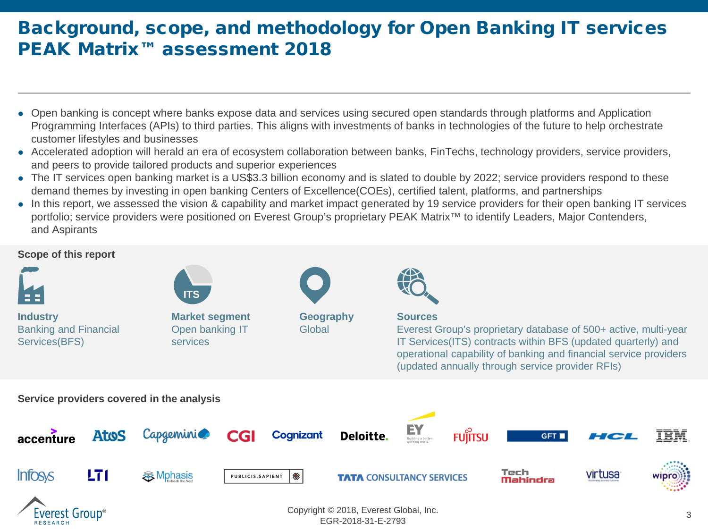### Background, scope, and methodology for Open Banking IT services PEAK Matrix<sup>™</sup> assessment 2018

- Open banking is concept where banks expose data and services using secured open standards through platforms and Application Programming Interfaces (APIs) to third parties. This aligns with investments of banks in technologies of the future to help orchestrate customer lifestyles and businesses
- Accelerated adoption will herald an era of ecosystem collaboration between banks, FinTechs, technology providers, service providers, and peers to provide tailored products and superior experiences
- The IT services open banking market is a US\$3.3 billion economy and is slated to double by 2022; service providers respond to these demand themes by investing in open banking Centers of Excellence(COEs), certified talent, platforms, and partnerships
- In this report, we assessed the vision & capability and market impact generated by 19 service providers for their open banking IT services portfolio; service providers were positioned on Everest Group's proprietary PEAK Matrix<sup>™</sup> to identify Leaders, Major Contenders, and Aspirants



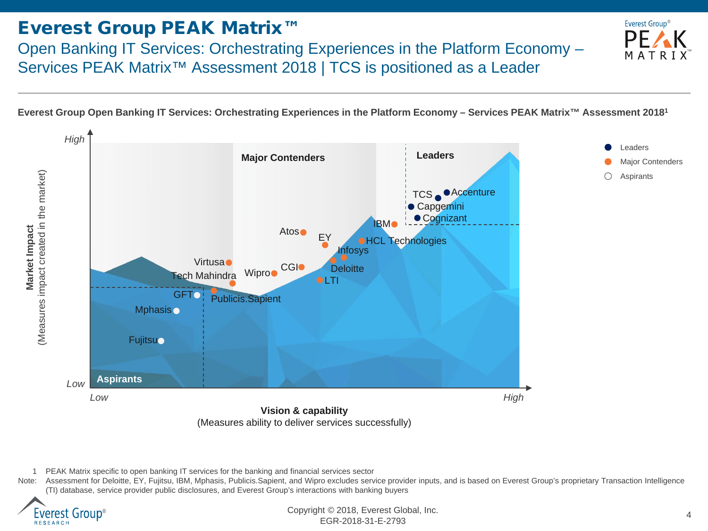### Everest Group PEAK Matrix™

Open Banking IT Services: Orchestrating Experiences in the Platform Economy – Services PEAK Matrix<sup>™</sup> Assessment 2018 | TCS is positioned as a Leader

**Everest Group Open Banking IT Services: Orchestrating Experiences in the Platform Economy – Services PEAK Matrix™ Assessment 20181**



Note: Assessment for Deloitte, EY, Fujitsu, IBM, Mphasis, Publicis.Sapient, and Wipro excludes service provider inputs, and is based on Everest Group's proprietary Transaction Intelligence (TI) database, service provider public disclosures, and Everest Group's interactions with banking buyers



<sup>4</sup> Copyright © 2018, Everest Global, Inc. EGR-2018-31-E-2793

™

Everest Group<sup>®</sup>

РF

<sup>1</sup> PEAK Matrix specific to open banking IT services for the banking and financial services sector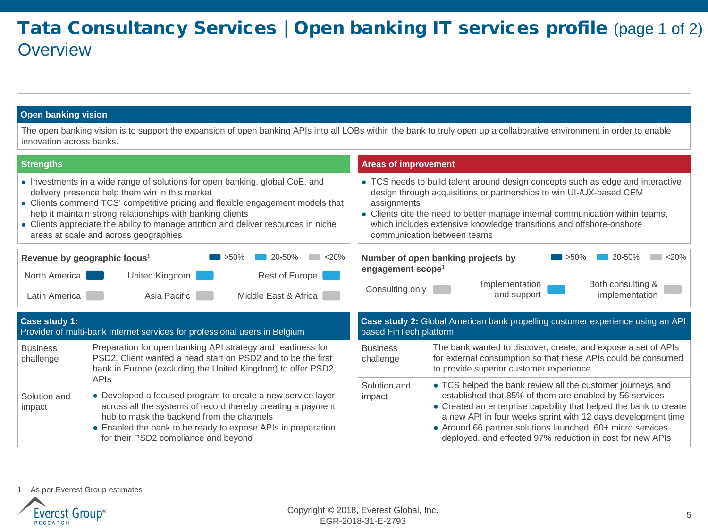### Tata Consultancy Services | Open banking IT services profile (page 1 of 2) **Overview**

#### **Open banking vision**

The open banking vision is to support the expansion of open banking APIs into all LOBs within the bank to truly open up a collaborative environment in order to enable innovation across banks.

| <b>Strengths</b>                                                                                                                                                                                                                                                                                                                                                                                               |                                                                                                                                                                                                                                                                                                |                      | <b>Areas of improvement</b>                                                                                                                                                                                                                                                                                                                                  |                                                                                                                                                                                                                                                              |  |
|----------------------------------------------------------------------------------------------------------------------------------------------------------------------------------------------------------------------------------------------------------------------------------------------------------------------------------------------------------------------------------------------------------------|------------------------------------------------------------------------------------------------------------------------------------------------------------------------------------------------------------------------------------------------------------------------------------------------|----------------------|--------------------------------------------------------------------------------------------------------------------------------------------------------------------------------------------------------------------------------------------------------------------------------------------------------------------------------------------------------------|--------------------------------------------------------------------------------------------------------------------------------------------------------------------------------------------------------------------------------------------------------------|--|
| • Investments in a wide range of solutions for open banking, global CoE, and<br>delivery presence help them win in this market<br>• Clients commend TCS' competitive pricing and flexible engagement models that<br>help it maintain strong relationships with banking clients<br>• Clients appreciate the ability to manage attrition and deliver resources in niche<br>areas at scale and across geographies |                                                                                                                                                                                                                                                                                                |                      | • TCS needs to build talent around design concepts such as edge and interactive<br>design through acquisitions or partnerships to win UI-/UX-based CEM<br>assignments<br>• Clients cite the need to better manage internal communication within teams,<br>which includes extensive knowledge transitions and offshore-onshore<br>communication between teams |                                                                                                                                                                                                                                                              |  |
| $20 - 50%$<br><20%<br>$>50\%$<br>Revenue by geographic focus <sup>1</sup>                                                                                                                                                                                                                                                                                                                                      |                                                                                                                                                                                                                                                                                                |                      | < 20%<br>20-50%<br>Number of open banking projects by<br>$>50\%$<br>engagement scope <sup>1</sup>                                                                                                                                                                                                                                                            |                                                                                                                                                                                                                                                              |  |
| North America                                                                                                                                                                                                                                                                                                                                                                                                  | United Kingdom                                                                                                                                                                                                                                                                                 | Rest of Europe       |                                                                                                                                                                                                                                                                                                                                                              | Implementation<br>Both consulting &                                                                                                                                                                                                                          |  |
| Latin America                                                                                                                                                                                                                                                                                                                                                                                                  | Asia Pacific                                                                                                                                                                                                                                                                                   | Middle East & Africa | Consulting only                                                                                                                                                                                                                                                                                                                                              | and support<br>implementation                                                                                                                                                                                                                                |  |
| Case study 1:<br>Provider of multi-bank Internet services for professional users in Belgium                                                                                                                                                                                                                                                                                                                    |                                                                                                                                                                                                                                                                                                |                      | Case study 2: Global American bank propelling customer experience using an API<br>based FinTech platform                                                                                                                                                                                                                                                     |                                                                                                                                                                                                                                                              |  |
| <b>Business</b><br>challenge                                                                                                                                                                                                                                                                                                                                                                                   | Preparation for open banking API strategy and readiness for<br>PSD2. Client wanted a head start on PSD2 and to be the first<br>bank in Europe (excluding the United Kingdom) to offer PSD2                                                                                                     |                      | <b>Business</b><br>challenge                                                                                                                                                                                                                                                                                                                                 | The bank wanted to discover, create, and expose a set of APIs<br>for external consumption so that these APIs could be consumed<br>to provide superior customer experience                                                                                    |  |
| Solution and                                                                                                                                                                                                                                                                                                                                                                                                   | <b>APIS</b><br>• Developed a focused program to create a new service layer<br>across all the systems of record thereby creating a payment<br>hub to mask the backend from the channels<br>• Enabled the bank to be ready to expose APIs in preparation<br>for their PSD2 compliance and beyond |                      | Solution and<br>impact                                                                                                                                                                                                                                                                                                                                       | • TCS helped the bank review all the customer journeys and<br>established that 85% of them are enabled by 56 services                                                                                                                                        |  |
| impact                                                                                                                                                                                                                                                                                                                                                                                                         |                                                                                                                                                                                                                                                                                                |                      |                                                                                                                                                                                                                                                                                                                                                              | • Created an enterprise capability that helped the bank to create<br>a new API in four weeks sprint with 12 days development time<br>• Around 66 partner solutions launched, 60+ micro services<br>deployed, and effected 97% reduction in cost for new APIs |  |

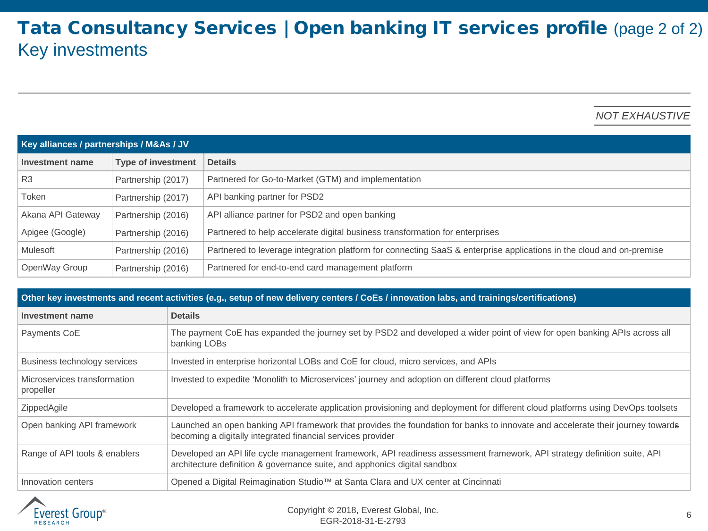### Tata Consultancy Services | Open banking IT services profile (page 2 of 2) Key investments

*NOT EXHAUSTIVE*

| Key alliances / partnerships / M&As / JV |                           |                                                                                                                      |  |  |
|------------------------------------------|---------------------------|----------------------------------------------------------------------------------------------------------------------|--|--|
| Investment name                          | <b>Type of investment</b> | <b>Details</b>                                                                                                       |  |  |
| R <sub>3</sub>                           | Partnership (2017)        | Partnered for Go-to-Market (GTM) and implementation                                                                  |  |  |
| Token                                    | Partnership (2017)        | API banking partner for PSD2                                                                                         |  |  |
| Akana API Gateway                        | Partnership (2016)        | API alliance partner for PSD2 and open banking                                                                       |  |  |
| Apigee (Google)                          | Partnership (2016)        | Partnered to help accelerate digital business transformation for enterprises                                         |  |  |
| Mulesoft                                 | Partnership (2016)        | Partnered to leverage integration platform for connecting SaaS & enterprise applications in the cloud and on-premise |  |  |
| OpenWay Group                            | Partnership (2016)        | Partnered for end-to-end card management platform                                                                    |  |  |

| Other key investments and recent activities (e.g., setup of new delivery centers / CoEs / innovation labs, and trainings/certifications) |                                                                                                                                                                                                       |  |  |  |
|------------------------------------------------------------------------------------------------------------------------------------------|-------------------------------------------------------------------------------------------------------------------------------------------------------------------------------------------------------|--|--|--|
| Investment name                                                                                                                          | <b>Details</b>                                                                                                                                                                                        |  |  |  |
| Payments CoE                                                                                                                             | The payment CoE has expanded the journey set by PSD2 and developed a wider point of view for open banking APIs across all<br>banking LOBs                                                             |  |  |  |
| Business technology services                                                                                                             | Invested in enterprise horizontal LOBs and CoE for cloud, micro services, and APIs                                                                                                                    |  |  |  |
| Microservices transformation<br>propeller                                                                                                | Invested to expedite 'Monolith to Microservices' journey and adoption on different cloud platforms                                                                                                    |  |  |  |
| ZippedAgile                                                                                                                              | Developed a framework to accelerate application provisioning and deployment for different cloud platforms using DevOps toolsets                                                                       |  |  |  |
| Open banking API framework                                                                                                               | Launched an open banking API framework that provides the foundation for banks to innovate and accelerate their journey towards<br>becoming a digitally integrated financial services provider         |  |  |  |
| Range of API tools & enablers                                                                                                            | Developed an API life cycle management framework, API readiness assessment framework, API strategy definition suite, API<br>architecture definition & governance suite, and apphonics digital sandbox |  |  |  |
| Innovation centers                                                                                                                       | Opened a Digital Reimagination Studio™ at Santa Clara and UX center at Cincinnati                                                                                                                     |  |  |  |

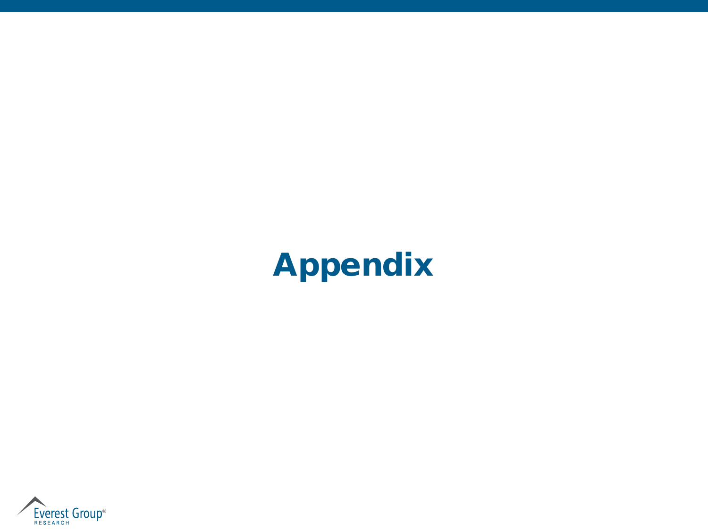# Appendix

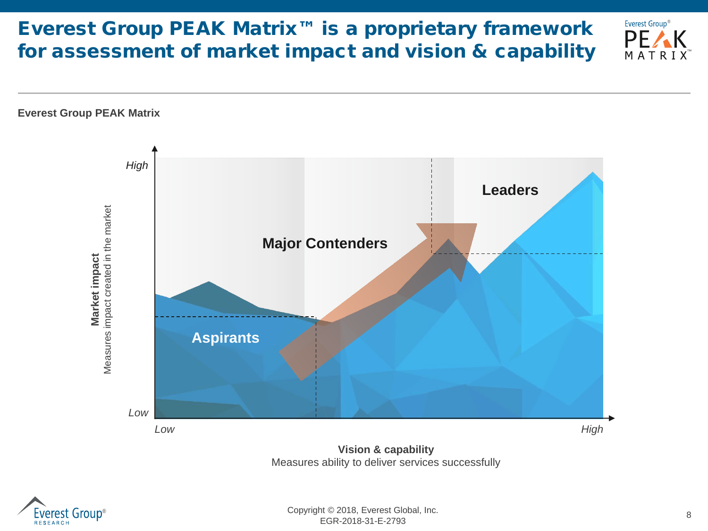# Everest Group PEAK Matrix™ is a proprietary framework for assessment of market impact and vision & capability



Measures ability to deliver services successfully



™

Everest Group®

PE/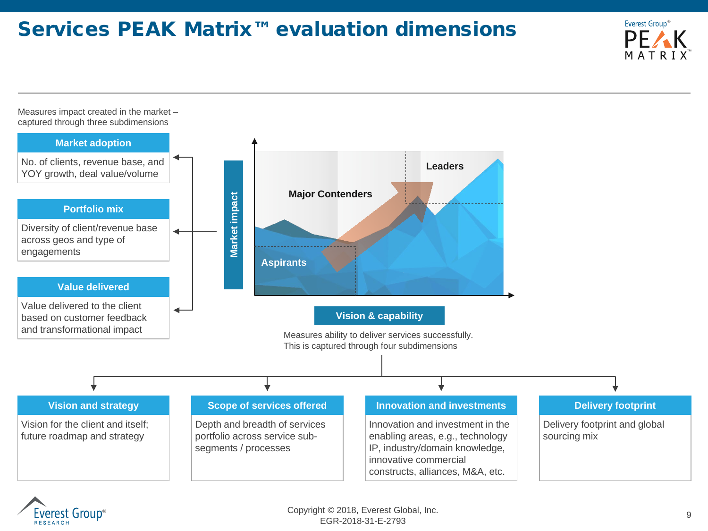# Services PEAK Matrix™ evaluation dimensions



Measures impact created in the market – captured through three subdimensions



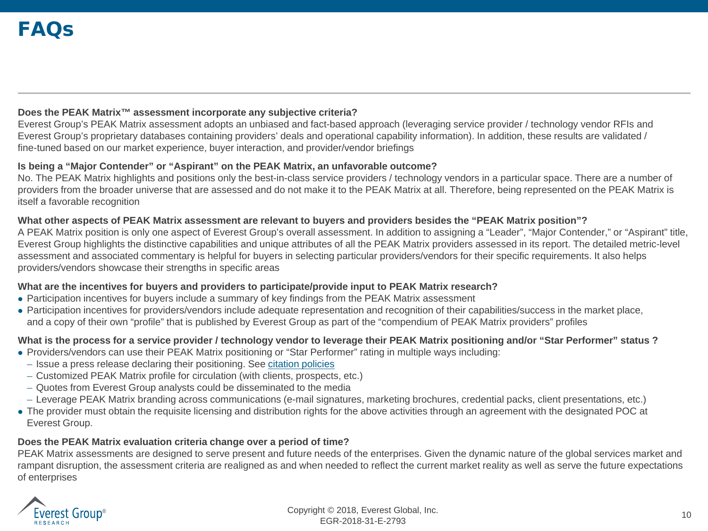### **Does the PEAK Matrix™ assessment incorporate any subjective criteria?**

Everest Group's PEAK Matrix assessment adopts an unbiased and fact-based approach (leveraging service provider / technology vendor RFIs and Everest Group's proprietary databases containing providers' deals and operational capability information). In addition, these results are validated / fine-tuned based on our market experience, buyer interaction, and provider/vendor briefings

#### **Is being a "Major Contender" or "Aspirant" on the PEAK Matrix, an unfavorable outcome?**

No. The PEAK Matrix highlights and positions only the best-in-class service providers / technology vendors in a particular space. There are a number of providers from the broader universe that are assessed and do not make it to the PEAK Matrix at all. Therefore, being represented on the PEAK Matrix is itself a favorable recognition

#### **What other aspects of PEAK Matrix assessment are relevant to buyers and providers besides the "PEAK Matrix position"?**

A PEAK Matrix position is only one aspect of Everest Group's overall assessment. In addition to assigning a "Leader", "Major Contender," or "Aspirant" title, Everest Group highlights the distinctive capabilities and unique attributes of all the PEAK Matrix providers assessed in its report. The detailed metric-level assessment and associated commentary is helpful for buyers in selecting particular providers/vendors for their specific requirements. It also helps providers/vendors showcase their strengths in specific areas

### **What are the incentives for buyers and providers to participate/provide input to PEAK Matrix research?**

- Participation incentives for buyers include a summary of key findings from the PEAK Matrix assessment
- Participation incentives for providers/vendors include adequate representation and recognition of their capabilities/success in the market place, and a copy of their own "profile" that is published by Everest Group as part of the "compendium of PEAK Matrix providers" profiles

### **What is the process for a service provider / technology vendor to leverage their PEAK Matrix positioning and/or "Star Performer" status ?**

- Providers/vendors can use their PEAK Matrix positioning or "Star Performer" rating in multiple ways including:
	- Issue a press release declaring their positioning. See [citation policies](https://www.everestgrp.com/research/peak-matrix/peak-matrix-citation-policy/)
- Customized PEAK Matrix profile for circulation (with clients, prospects, etc.)
- Quotes from Everest Group analysts could be disseminated to the media
- Leverage PEAK Matrix branding across communications (e-mail signatures, marketing brochures, credential packs, client presentations, etc.)
- The provider must obtain the requisite licensing and distribution rights for the above activities through an agreement with the designated POC at Everest Group.

### **Does the PEAK Matrix evaluation criteria change over a period of time?**

PEAK Matrix assessments are designed to serve present and future needs of the enterprises. Given the dynamic nature of the global services market and rampant disruption, the assessment criteria are realigned as and when needed to reflect the current market reality as well as serve the future expectations of enterprises